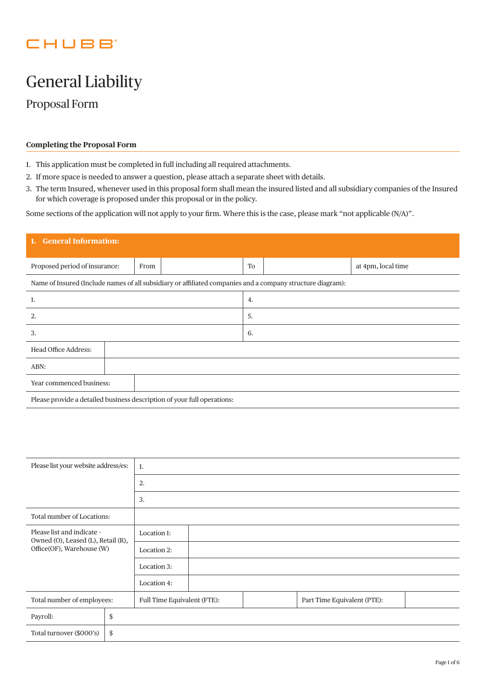## CHUBB

# General Liability

Proposal Form

## **Completing the Proposal Form**

- 1. This application must be completed in full including all required attachments.
- 2. If more space is needed to answer a question, please attach a separate sheet with details.
- 3. The term Insured, whenever used in this proposal form shall mean the insured listed and all subsidiary companies of the Insured for which coverage is proposed under this proposal or in the policy.

Some sections of the application will not apply to your firm. Where this is the case, please mark "not applicable (N/A)".

| 1. General Information:                                                                                    |      |  |           |  |                    |  |
|------------------------------------------------------------------------------------------------------------|------|--|-----------|--|--------------------|--|
| Proposed period of insurance:                                                                              | From |  | <b>To</b> |  | at 4pm, local time |  |
| Name of Insured (Include names of all subsidiary or affiliated companies and a company structure diagram): |      |  |           |  |                    |  |
| 1.                                                                                                         |      |  | 4.        |  |                    |  |
| 5.<br>2.                                                                                                   |      |  |           |  |                    |  |
| 3.                                                                                                         | 6.   |  |           |  |                    |  |
| Head Office Address:                                                                                       |      |  |           |  |                    |  |
| ABN:                                                                                                       |      |  |           |  |                    |  |
| Year commenced business:                                                                                   |      |  |           |  |                    |  |
| Please provide a detailed business description of your full operations:                                    |      |  |           |  |                    |  |

| Please list your website address/es:                                                          |    | 1.                          |  |  |                             |  |  |  |
|-----------------------------------------------------------------------------------------------|----|-----------------------------|--|--|-----------------------------|--|--|--|
|                                                                                               |    | 2.                          |  |  |                             |  |  |  |
|                                                                                               |    | 3.                          |  |  |                             |  |  |  |
| Total number of Locations:                                                                    |    |                             |  |  |                             |  |  |  |
| Please list and indicate -<br>Owned (O), Leased (L), Retail (R),<br>Office(OF), Warehouse (W) |    | Location 1:                 |  |  |                             |  |  |  |
|                                                                                               |    | Location 2:                 |  |  |                             |  |  |  |
|                                                                                               |    | Location 3:                 |  |  |                             |  |  |  |
|                                                                                               |    | Location 4:                 |  |  |                             |  |  |  |
| Total number of employees:                                                                    |    | Full Time Equivalent (FTE): |  |  | Part Time Equivalent (PTE): |  |  |  |
| Payroll:                                                                                      | \$ |                             |  |  |                             |  |  |  |
| Total turnover (\$000's)                                                                      | \$ |                             |  |  |                             |  |  |  |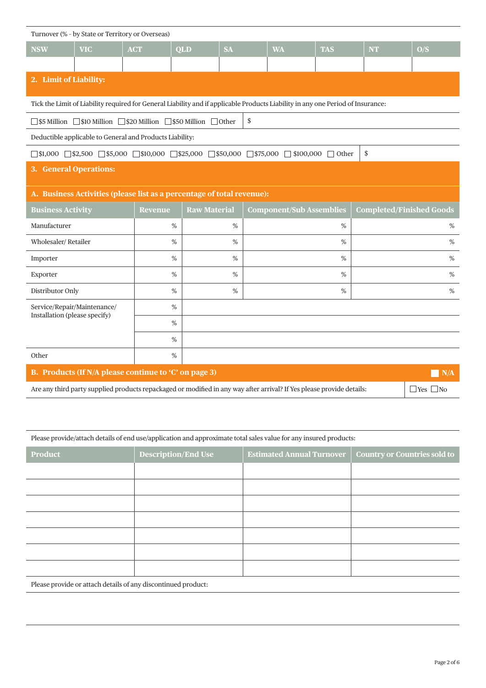| Turnover (% - by State or Territory or Overseas) |                                                              |                                                                    |                     |                                                                                                                                 |                                 |            |                                 |                      |
|--------------------------------------------------|--------------------------------------------------------------|--------------------------------------------------------------------|---------------------|---------------------------------------------------------------------------------------------------------------------------------|---------------------------------|------------|---------------------------------|----------------------|
| <b>NSW</b>                                       | <b>VIC</b>                                                   | <b>ACT</b>                                                         | QLD                 | <b>SA</b>                                                                                                                       | <b>WA</b>                       | <b>TAS</b> | <b>NT</b>                       | O/S                  |
|                                                  |                                                              |                                                                    |                     |                                                                                                                                 |                                 |            |                                 |                      |
| 2. Limit of Liability:                           |                                                              |                                                                    |                     |                                                                                                                                 |                                 |            |                                 |                      |
|                                                  |                                                              |                                                                    |                     | Tick the Limit of Liability required for General Liability and if applicable Products Liability in any one Period of Insurance: |                                 |            |                                 |                      |
|                                                  |                                                              | ◯ \$5 Million ◯ \$10 Million ◯ \$20 Million ◯ \$50 Million ◯ Other |                     | \$                                                                                                                              |                                 |            |                                 |                      |
|                                                  |                                                              | Deductible applicable to General and Products Liability:           |                     |                                                                                                                                 |                                 |            |                                 |                      |
|                                                  |                                                              |                                                                    |                     | $\Box$ \$1,000 $\Box$ \$2,500 $\Box$ \$5,000 $\Box$ \$10,000 $\Box$ \$25,000 $\Box$ \$50,000 $\Box$ \$100,000 $\Box$ Other      |                                 |            | \$                              |                      |
| 3. General Operations:                           |                                                              |                                                                    |                     |                                                                                                                                 |                                 |            |                                 |                      |
|                                                  |                                                              |                                                                    |                     | A. Business Activities (please list as a percentage of total revenue):                                                          |                                 |            |                                 |                      |
| <b>Business Activity</b>                         |                                                              | <b>Revenue</b>                                                     | <b>Raw Material</b> |                                                                                                                                 | <b>Component/Sub Assemblies</b> |            | <b>Completed/Finished Goods</b> |                      |
| Manufacturer                                     |                                                              |                                                                    | %                   | %                                                                                                                               |                                 | %          |                                 | %                    |
| Wholesaler/Retailer                              |                                                              |                                                                    | %                   | $\%$                                                                                                                            |                                 | %          |                                 | $\%$                 |
| Importer                                         |                                                              |                                                                    | $\%$                | $\%$                                                                                                                            |                                 | %          |                                 | $\%$                 |
| Exporter                                         |                                                              |                                                                    | %                   | %                                                                                                                               |                                 | %          |                                 | %                    |
| Distributor Only                                 |                                                              |                                                                    | %                   | %                                                                                                                               |                                 | %          |                                 | %                    |
| Installation (please specify)                    | Service/Repair/Maintenance/                                  |                                                                    | $\%$                |                                                                                                                                 |                                 |            |                                 |                      |
|                                                  |                                                              |                                                                    | %                   |                                                                                                                                 |                                 |            |                                 |                      |
|                                                  |                                                              |                                                                    | %                   |                                                                                                                                 |                                 |            |                                 |                      |
| Other                                            |                                                              |                                                                    | $\%$                |                                                                                                                                 |                                 |            |                                 |                      |
|                                                  | B. Products (If N/A please continue to 'C' on page 3)<br>N/A |                                                                    |                     |                                                                                                                                 |                                 |            |                                 |                      |
|                                                  |                                                              |                                                                    |                     | Are any third party supplied products repackaged or modified in any way after arrival? If Yes please provide details:           |                                 |            |                                 | $\Box$ Yes $\Box$ No |
|                                                  |                                                              |                                                                    |                     |                                                                                                                                 |                                 |            |                                 |                      |

|  |  |  | Please provide/attach details of end use/application and approximate total sales value for any insured products: |
|--|--|--|------------------------------------------------------------------------------------------------------------------|
|  |  |  |                                                                                                                  |
|  |  |  |                                                                                                                  |
|  |  |  |                                                                                                                  |

| <b>Product</b> | <b>Description/End Use</b>                                    | <b>Estimated Annual Turnover</b> | Country or Countries sold to |  |  |  |  |
|----------------|---------------------------------------------------------------|----------------------------------|------------------------------|--|--|--|--|
|                |                                                               |                                  |                              |  |  |  |  |
|                |                                                               |                                  |                              |  |  |  |  |
|                |                                                               |                                  |                              |  |  |  |  |
|                |                                                               |                                  |                              |  |  |  |  |
|                |                                                               |                                  |                              |  |  |  |  |
|                |                                                               |                                  |                              |  |  |  |  |
|                |                                                               |                                  |                              |  |  |  |  |
|                | Please provide or attach details of any discontinued product: |                                  |                              |  |  |  |  |

Please provide or attach details of any discontinued product: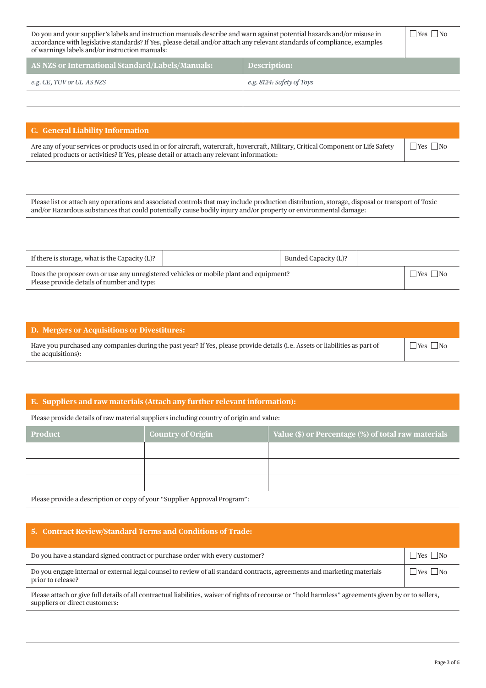| Do you and your supplier's labels and instruction manuals describe and warn against potential hazards and/or misuse in<br>accordance with legislative standards? If Yes, please detail and/or attach any relevant standards of compliance, examples<br>of warnings labels and/or instruction manuals: |                           |  |  |  |
|-------------------------------------------------------------------------------------------------------------------------------------------------------------------------------------------------------------------------------------------------------------------------------------------------------|---------------------------|--|--|--|
| AS NZS or International Standard/Labels/Manuals:                                                                                                                                                                                                                                                      | <b>Description:</b>       |  |  |  |
| e.g. CE, TUV or UL AS NZS                                                                                                                                                                                                                                                                             | e.g. 8124: Safety of Toys |  |  |  |
|                                                                                                                                                                                                                                                                                                       |                           |  |  |  |
|                                                                                                                                                                                                                                                                                                       |                           |  |  |  |
| <b>C.</b> General Liability Information                                                                                                                                                                                                                                                               |                           |  |  |  |
| Are any of your services or products used in or for aircraft, watercraft, hovercraft, Military, Critical Component or Life Safety<br>related products or activities? If Yes, please detail or attach any relevant information:                                                                        |                           |  |  |  |

Please list or attach any operations and associated controls that may include production distribution, storage, disposal or transport of Toxic and/or Hazardous substances that could potentially cause bodily injury and/or property or environmental damage:

| If there is storage, what is the Capacity (L)?                                                                                      | Bunded Capacity (L)? |                      |
|-------------------------------------------------------------------------------------------------------------------------------------|----------------------|----------------------|
| Does the proposer own or use any unregistered vehicles or mobile plant and equipment?<br>Please provide details of number and type: |                      | $\Box$ Yes $\Box$ No |

| D. Mergers or Acquisitions or Divestitures:                                                                                                        |                      |
|----------------------------------------------------------------------------------------------------------------------------------------------------|----------------------|
| Have you purchased any companies during the past year? If Yes, please provide details (i.e. Assets or liabilities as part of<br>the acquisitions): | $\Box$ Yes $\Box$ No |

## **E. Suppliers and raw materials (Attach any further relevant information):**

Please provide details of raw material suppliers including country of origin and value:

| <b>Product</b> | <b>Country of Origin</b> | Value $(\$)$ or Percentage $(\%)$ of total raw materials |
|----------------|--------------------------|----------------------------------------------------------|
|                |                          |                                                          |
|                |                          |                                                          |
|                |                          |                                                          |
| $-1$           |                          |                                                          |

Please provide a description or copy of your "Supplier Approval Program":

## **5. Contract Review/Standard Terms and Conditions of Trade:**

| Do you have a standard signed contract or purchase order with every customer?                                                                 | $\Box$ Yes $\Box$ No |
|-----------------------------------------------------------------------------------------------------------------------------------------------|----------------------|
| Do you engage internal or external legal counsel to review of all standard contracts, agreements and marketing materials<br>prior to release? | $\Box$ Yes $\Box$ No |

Please attach or give full details of all contractual liabilities, waiver of rights of recourse or "hold harmless" agreements given by or to sellers, suppliers or direct customers: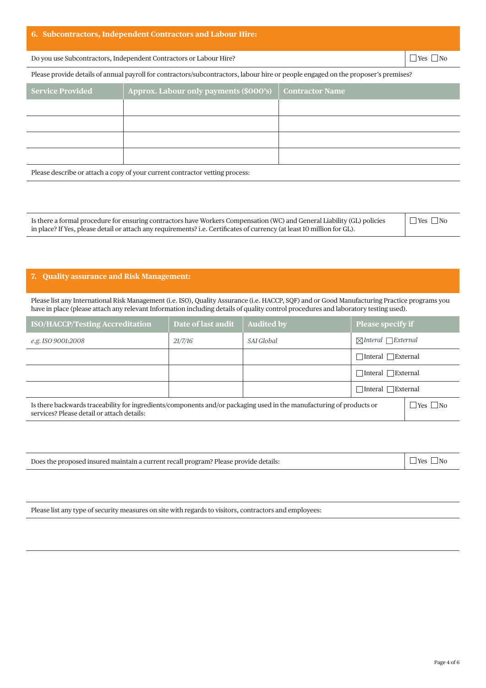Do you use Subcontractors, Independent Contractors or Labour Hire?  $\Box$  Yes  $\Box$  Yes  $\Box$  No

Please provide details of annual payroll for contractors/subcontractors, labour hire or people engaged on the proposer's premises?

| <b>Service Provided</b>                                                      | Approx. Labour only payments (\$000's) | <b>Contractor Name</b> |  |  |
|------------------------------------------------------------------------------|----------------------------------------|------------------------|--|--|
|                                                                              |                                        |                        |  |  |
|                                                                              |                                        |                        |  |  |
|                                                                              |                                        |                        |  |  |
|                                                                              |                                        |                        |  |  |
| Please describe or attach a copy of your current contractor vetting process: |                                        |                        |  |  |

| Is there a formal procedure for ensuring contractors have Workers Compensation (WC) and General Liability (GL) policies | $\Box$ Yes $\Box$ No |
|-------------------------------------------------------------------------------------------------------------------------|----------------------|
| in place? If Yes, please detail or attach any requirements? i.e. Certificates of currency (at least 10 million for GL). |                      |

### **7. Quality assurance and Risk Management:**

Please list any International Risk Management (i.e. ISO), Quality Assurance (i.e. HACCP, SQF) and or Good Manufacturing Practice programs you have in place (please attach any relevant Information including details of quality control procedures and laboratory testing used).

| <b>ISO/HACCP/Testing Accreditation</b>                                                                                                                             | Date of last audit | <b>Audited by</b> | <b>Please specify if</b>            |
|--------------------------------------------------------------------------------------------------------------------------------------------------------------------|--------------------|-------------------|-------------------------------------|
| e.g. ISO 9001:2008                                                                                                                                                 | 21/7/16            | SAI Global        | $\boxtimes$ Interal $\Box$ External |
|                                                                                                                                                                    |                    |                   | ⊤Interal FExternal                  |
|                                                                                                                                                                    |                    |                   | $\exists$ Interal $\Box$ External   |
|                                                                                                                                                                    |                    |                   | $\exists$ Interal $\Box$ External   |
| Is there backwards traceability for ingredients/components and/or packaging used in the manufacturing of products or<br>services? Please detail or attach details: |                    |                   |                                     |

| Does the proposed insured maintain a current recall program? Please provide details: | $\Box$ Yes $\Box$ No |
|--------------------------------------------------------------------------------------|----------------------|
|--------------------------------------------------------------------------------------|----------------------|

Please list any type of security measures on site with regards to visitors, contractors and employees: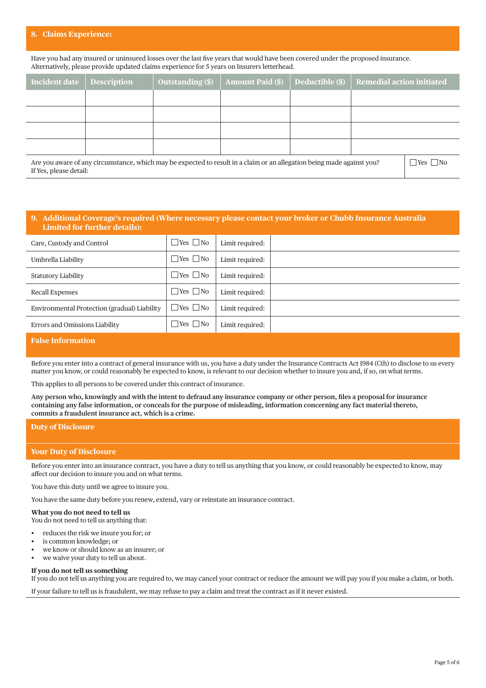#### **8. Claims Experience:**

Have you had any insured or uninsured losses over the last five years that would have been covered under the proposed insurance. Alternatively, please provide updated claims experience for 5 years on Insurers letterhead.

| Incident date                                                                                                                                    | <b>Description</b> | <b>Outstanding (\$)</b> | <b>Amount Paid (\$)</b> | Deductible (\$)      | <b>Remedial action initiated</b> |  |
|--------------------------------------------------------------------------------------------------------------------------------------------------|--------------------|-------------------------|-------------------------|----------------------|----------------------------------|--|
|                                                                                                                                                  |                    |                         |                         |                      |                                  |  |
|                                                                                                                                                  |                    |                         |                         |                      |                                  |  |
|                                                                                                                                                  |                    |                         |                         |                      |                                  |  |
|                                                                                                                                                  |                    |                         |                         |                      |                                  |  |
| Are you aware of any circumstance, which may be expected to result in a claim or an allegation being made against you?<br>If Yes, please detail: |                    |                         |                         | $\Box$ Yes $\Box$ No |                                  |  |

#### **9. Additional Coverage's required (Where necessary please contact your broker or Chubb Insurance Australia Limited for further details):**

| Care, Custody and Control                    | $\Box$ Yes $\Box$ No | Limit required: |  |
|----------------------------------------------|----------------------|-----------------|--|
| Umbrella Liability                           | $\Box$ Yes $\Box$ No | Limit required: |  |
| <b>Statutory Liability</b>                   | $\Box$ Yes $\Box$ No | Limit required: |  |
| Recall Expenses                              | $\Box$ Yes $\Box$ No | Limit required: |  |
| Environmental Protection (gradual) Liability | $\Box$ Yes $\Box$ No | Limit required: |  |
| Errors and Omissions Liability               | $\Box$ Yes $\Box$ No | Limit required: |  |

## **False Information**

Before you enter into a contract of general insurance with us, you have a duty under the Insurance Contracts Act 1984 (Cth) to disclose to us every matter you know, or could reasonably be expected to know, is relevant to our decision whether to insure you and, if so, on what terms.

This applies to all persons to be covered under this contract of insurance.

**Any person who, knowingly and with the intent to defraud any insurance company or other person, files a proposal for insurance containing any false information, or conceals for the purpose of misleading, information concerning any fact material thereto, commits a fraudulent insurance act, which is a crime.**

#### **Duty of Disclosure**

#### **Your Duty of Disclosure**

Before you enter into an insurance contract, you have a duty to tell us anything that you know, or could reasonably be expected to know, may affect our decision to insure you and on what terms.

You have this duty until we agree to insure you.

You have the same duty before you renew, extend, vary or reinstate an insurance contract.

**What you do not need to tell us**

You do not need to tell us anything that:

- reduces the risk we insure you for; or
- is common knowledge; or
- we know or should know as an insurer; or
- we waive your duty to tell us about.

#### **If you do not tell us something**

If you do not tell us anything you are required to, we may cancel your contract or reduce the amount we will pay you if you make a claim, or both.

If your failure to tell us is fraudulent, we may refuse to pay a claim and treat the contract as if it never existed.